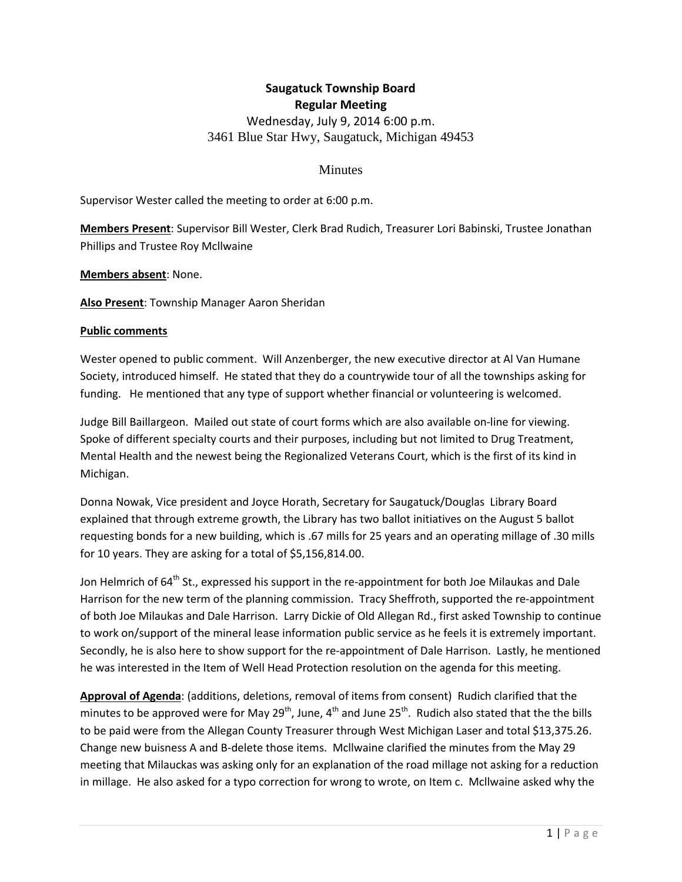# **Saugatuck Township Board Regular Meeting** Wednesday, July 9, 2014 6:00 p.m. 3461 Blue Star Hwy, Saugatuck, Michigan 49453

#### **Minutes**

Supervisor Wester called the meeting to order at 6:00 p.m.

**Members Present**: Supervisor Bill Wester, Clerk Brad Rudich, Treasurer Lori Babinski, Trustee Jonathan Phillips and Trustee Roy Mcllwaine

**Members absent**: None.

**Also Present**: Township Manager Aaron Sheridan

#### **Public comments**

Wester opened to public comment. Will Anzenberger, the new executive director at Al Van Humane Society, introduced himself. He stated that they do a countrywide tour of all the townships asking for funding. He mentioned that any type of support whether financial or volunteering is welcomed.

Judge Bill Baillargeon. Mailed out state of court forms which are also available on-line for viewing. Spoke of different specialty courts and their purposes, including but not limited to Drug Treatment, Mental Health and the newest being the Regionalized Veterans Court, which is the first of its kind in Michigan.

Donna Nowak, Vice president and Joyce Horath, Secretary for Saugatuck/Douglas Library Board explained that through extreme growth, the Library has two ballot initiatives on the August 5 ballot requesting bonds for a new building, which is .67 mills for 25 years and an operating millage of .30 mills for 10 years. They are asking for a total of \$5,156,814.00.

Jon Helmrich of  $64<sup>th</sup>$  St., expressed his support in the re-appointment for both Joe Milaukas and Dale Harrison for the new term of the planning commission. Tracy Sheffroth, supported the re-appointment of both Joe Milaukas and Dale Harrison. Larry Dickie of Old Allegan Rd., first asked Township to continue to work on/support of the mineral lease information public service as he feels it is extremely important. Secondly, he is also here to show support for the re-appointment of Dale Harrison. Lastly, he mentioned he was interested in the Item of Well Head Protection resolution on the agenda for this meeting.

**Approval of Agenda**: (additions, deletions, removal of items from consent) Rudich clarified that the minutes to be approved were for May 29<sup>th</sup>, June, 4<sup>th</sup> and June 25<sup>th</sup>. Rudich also stated that the the bills to be paid were from the Allegan County Treasurer through West Michigan Laser and total \$13,375.26. Change new buisness A and B-delete those items. Mcllwaine clarified the minutes from the May 29 meeting that Milauckas was asking only for an explanation of the road millage not asking for a reduction in millage. He also asked for a typo correction for wrong to wrote, on Item c. Mcllwaine asked why the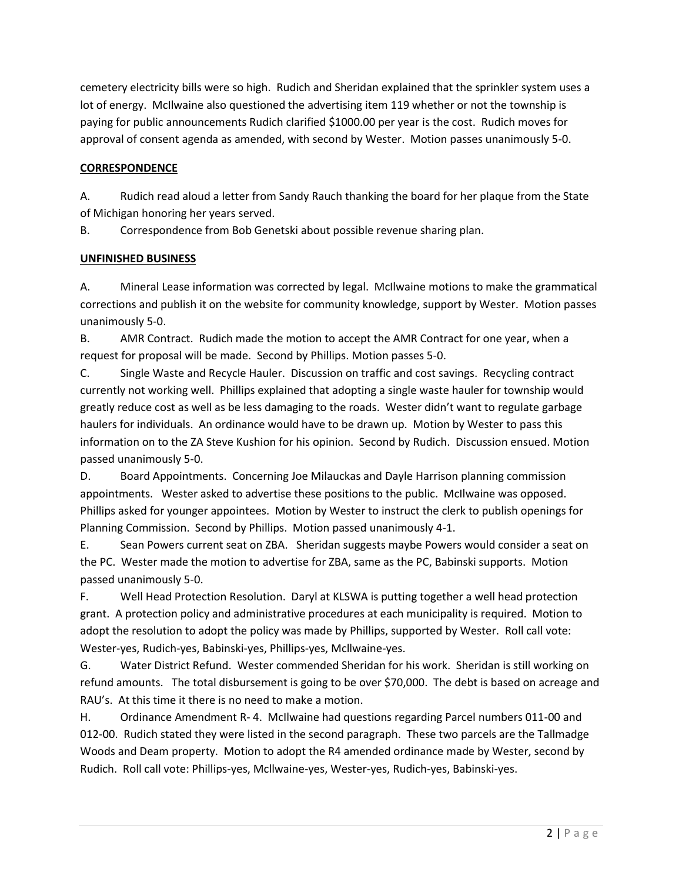cemetery electricity bills were so high. Rudich and Sheridan explained that the sprinkler system uses a lot of energy. McIlwaine also questioned the advertising item 119 whether or not the township is paying for public announcements Rudich clarified \$1000.00 per year is the cost. Rudich moves for approval of consent agenda as amended, with second by Wester. Motion passes unanimously 5-0.

## **CORRESPONDENCE**

A. Rudich read aloud a letter from Sandy Rauch thanking the board for her plaque from the State of Michigan honoring her years served.

B. Correspondence from Bob Genetski about possible revenue sharing plan.

## **UNFINISHED BUSINESS**

A. Mineral Lease information was corrected by legal. McIlwaine motions to make the grammatical corrections and publish it on the website for community knowledge, support by Wester. Motion passes unanimously 5-0.

B. AMR Contract. Rudich made the motion to accept the AMR Contract for one year, when a request for proposal will be made. Second by Phillips. Motion passes 5-0.

C. Single Waste and Recycle Hauler. Discussion on traffic and cost savings. Recycling contract currently not working well. Phillips explained that adopting a single waste hauler for township would greatly reduce cost as well as be less damaging to the roads. Wester didn't want to regulate garbage haulers for individuals. An ordinance would have to be drawn up. Motion by Wester to pass this information on to the ZA Steve Kushion for his opinion. Second by Rudich. Discussion ensued. Motion passed unanimously 5-0.

D. Board Appointments. Concerning Joe Milauckas and Dayle Harrison planning commission appointments. Wester asked to advertise these positions to the public. McIlwaine was opposed. Phillips asked for younger appointees. Motion by Wester to instruct the clerk to publish openings for Planning Commission. Second by Phillips. Motion passed unanimously 4-1.

E. Sean Powers current seat on ZBA. Sheridan suggests maybe Powers would consider a seat on the PC. Wester made the motion to advertise for ZBA, same as the PC, Babinski supports. Motion passed unanimously 5-0.

F. Well Head Protection Resolution. Daryl at KLSWA is putting together a well head protection grant. A protection policy and administrative procedures at each municipality is required. Motion to adopt the resolution to adopt the policy was made by Phillips, supported by Wester. Roll call vote: Wester-yes, Rudich-yes, Babinski-yes, Phillips-yes, Mcllwaine-yes.

G. Water District Refund. Wester commended Sheridan for his work. Sheridan is still working on refund amounts. The total disbursement is going to be over \$70,000. The debt is based on acreage and RAU's. At this time it there is no need to make a motion.

H. Ordinance Amendment R- 4. McIlwaine had questions regarding Parcel numbers 011-00 and 012-00. Rudich stated they were listed in the second paragraph. These two parcels are the Tallmadge Woods and Deam property. Motion to adopt the R4 amended ordinance made by Wester, second by Rudich. Roll call vote: Phillips-yes, Mcllwaine-yes, Wester-yes, Rudich-yes, Babinski-yes.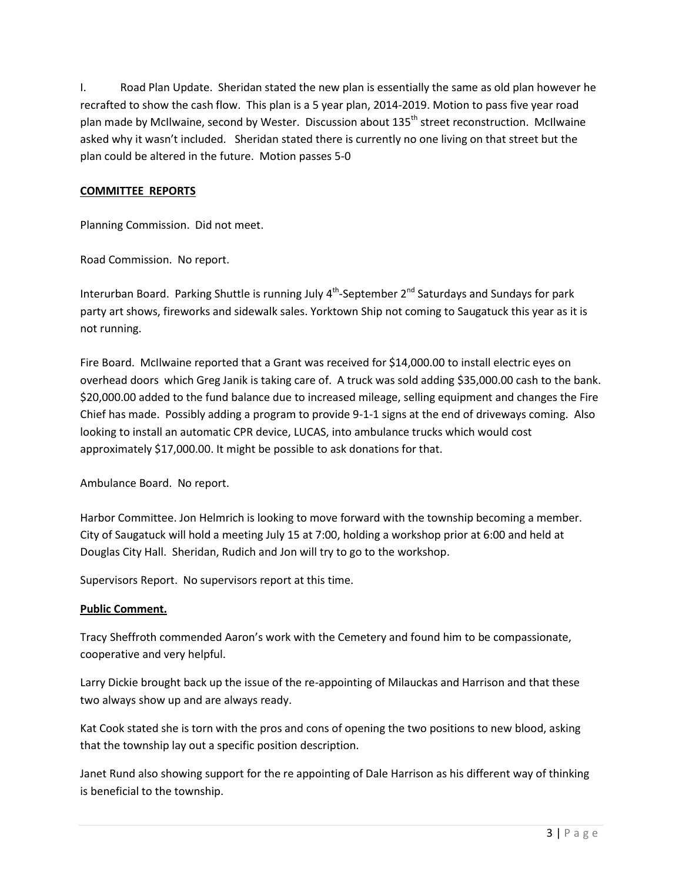I. Road Plan Update. Sheridan stated the new plan is essentially the same as old plan however he recrafted to show the cash flow. This plan is a 5 year plan, 2014-2019. Motion to pass five year road plan made by McIlwaine, second by Wester. Discussion about 135<sup>th</sup> street reconstruction. McIlwaine asked why it wasn't included. Sheridan stated there is currently no one living on that street but the plan could be altered in the future. Motion passes 5-0

#### **COMMITTEE REPORTS**

Planning Commission. Did not meet.

Road Commission. No report.

Interurban Board. Parking Shuttle is running July 4<sup>th</sup>-September 2<sup>nd</sup> Saturdays and Sundays for park party art shows, fireworks and sidewalk sales. Yorktown Ship not coming to Saugatuck this year as it is not running.

Fire Board. McIlwaine reported that a Grant was received for \$14,000.00 to install electric eyes on overhead doors which Greg Janik is taking care of. A truck was sold adding \$35,000.00 cash to the bank. \$20,000.00 added to the fund balance due to increased mileage, selling equipment and changes the Fire Chief has made. Possibly adding a program to provide 9-1-1 signs at the end of driveways coming. Also looking to install an automatic CPR device, LUCAS, into ambulance trucks which would cost approximately \$17,000.00. It might be possible to ask donations for that.

Ambulance Board. No report.

Harbor Committee. Jon Helmrich is looking to move forward with the township becoming a member. City of Saugatuck will hold a meeting July 15 at 7:00, holding a workshop prior at 6:00 and held at Douglas City Hall. Sheridan, Rudich and Jon will try to go to the workshop.

Supervisors Report. No supervisors report at this time.

## **Public Comment.**

Tracy Sheffroth commended Aaron's work with the Cemetery and found him to be compassionate, cooperative and very helpful.

Larry Dickie brought back up the issue of the re-appointing of Milauckas and Harrison and that these two always show up and are always ready.

Kat Cook stated she is torn with the pros and cons of opening the two positions to new blood, asking that the township lay out a specific position description.

Janet Rund also showing support for the re appointing of Dale Harrison as his different way of thinking is beneficial to the township.